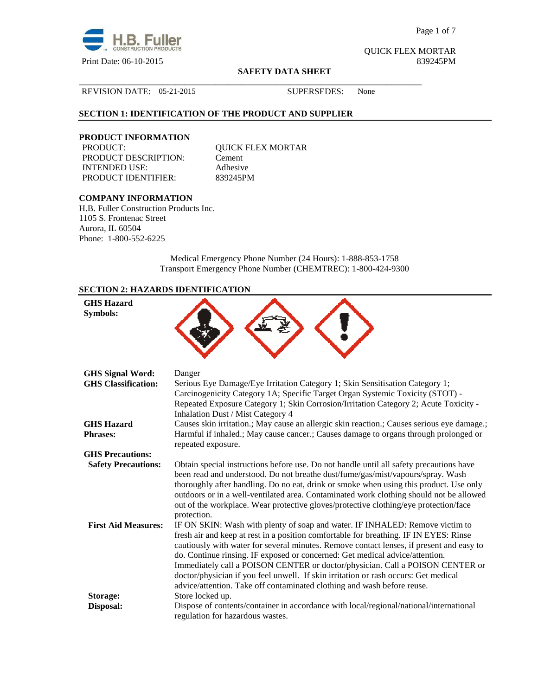

Page 1 of 7

QUICK FLEX MORTAR

#### **SAFETY DATA SHEET**

### REVISION DATE: 05-21-2015 SUPERSEDES: None

## **SECTION 1: IDENTIFICATION OF THE PRODUCT AND SUPPLIER**

# **PRODUCT INFORMATION**

PRODUCT DESCRIPTION: Cement INTENDED USE: Adhesive PRODUCT IDENTIFIER: 839245PM

QUICK FLEX MORTAR

\_\_\_\_\_\_\_\_\_\_\_\_\_\_\_\_\_\_\_\_\_\_\_\_\_\_\_\_\_\_\_\_\_\_\_\_\_\_\_\_\_\_\_\_\_\_\_\_\_\_\_\_\_\_\_\_\_\_\_\_\_\_\_\_\_\_\_\_\_\_\_\_\_\_\_\_\_\_

# **COMPANY INFORMATION**

H.B. Fuller Construction Products Inc. 1105 S. Frontenac Street Aurora, IL 60504 Phone: 1-800-552-6225

> Medical Emergency Phone Number (24 Hours): 1-888-853-1758 Transport Emergency Phone Number (CHEMTREC): 1-800-424-9300

# **SECTION 2: HAZARDS IDENTIFICATION**

| <b>GHS Hazard</b><br>Symbols:        |                                                                                                                                                                                                                                                                                                                                                                                                                                                                                                                                                                                                      |
|--------------------------------------|------------------------------------------------------------------------------------------------------------------------------------------------------------------------------------------------------------------------------------------------------------------------------------------------------------------------------------------------------------------------------------------------------------------------------------------------------------------------------------------------------------------------------------------------------------------------------------------------------|
| <b>GHS Signal Word:</b>              | Danger                                                                                                                                                                                                                                                                                                                                                                                                                                                                                                                                                                                               |
| <b>GHS Classification:</b>           | Serious Eye Damage/Eye Irritation Category 1; Skin Sensitisation Category 1;<br>Carcinogenicity Category 1A; Specific Target Organ Systemic Toxicity (STOT) -<br>Repeated Exposure Category 1; Skin Corrosion/Irritation Category 2; Acute Toxicity -<br>Inhalation Dust / Mist Category 4                                                                                                                                                                                                                                                                                                           |
| <b>GHS Hazard</b><br><b>Phrases:</b> | Causes skin irritation.; May cause an allergic skin reaction.; Causes serious eye damage.;<br>Harmful if inhaled.; May cause cancer.; Causes damage to organs through prolonged or<br>repeated exposure.                                                                                                                                                                                                                                                                                                                                                                                             |
| <b>GHS Precautions:</b>              |                                                                                                                                                                                                                                                                                                                                                                                                                                                                                                                                                                                                      |
| <b>Safety Precautions:</b>           | Obtain special instructions before use. Do not handle until all safety precautions have<br>been read and understood. Do not breathe dust/fume/gas/mist/vapours/spray. Wash<br>thoroughly after handling. Do no eat, drink or smoke when using this product. Use only<br>outdoors or in a well-ventilated area. Contaminated work clothing should not be allowed<br>out of the workplace. Wear protective gloves/protective clothing/eye protection/face<br>protection.                                                                                                                               |
| <b>First Aid Measures:</b>           | IF ON SKIN: Wash with plenty of soap and water. IF INHALED: Remove victim to<br>fresh air and keep at rest in a position comfortable for breathing. IF IN EYES: Rinse<br>cautiously with water for several minutes. Remove contact lenses, if present and easy to<br>do. Continue rinsing. IF exposed or concerned: Get medical advice/attention.<br>Immediately call a POISON CENTER or doctor/physician. Call a POISON CENTER or<br>doctor/physician if you feel unwell. If skin irritation or rash occurs: Get medical<br>advice/attention. Take off contaminated clothing and wash before reuse. |
| Storage:                             | Store locked up.                                                                                                                                                                                                                                                                                                                                                                                                                                                                                                                                                                                     |
| Disposal:                            | Dispose of contents/container in accordance with local/regional/national/international<br>regulation for hazardous wastes.                                                                                                                                                                                                                                                                                                                                                                                                                                                                           |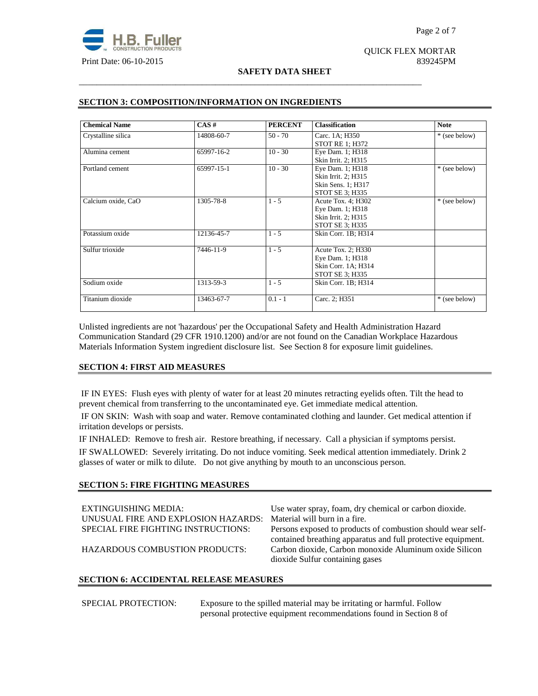# QUICK FLEX MORTAR

## **SAFETY DATA SHEET**

\_\_\_\_\_\_\_\_\_\_\_\_\_\_\_\_\_\_\_\_\_\_\_\_\_\_\_\_\_\_\_\_\_\_\_\_\_\_\_\_\_\_\_\_\_\_\_\_\_\_\_\_\_\_\_\_\_\_\_\_\_\_\_\_\_\_\_\_\_\_\_\_\_\_\_\_\_\_

| <b>Chemical Name</b> | CAS#       | <b>PERCENT</b> | <b>Classification</b>  | <b>Note</b>   |
|----------------------|------------|----------------|------------------------|---------------|
| Crystalline silica   | 14808-60-7 | $50 - 70$      | Carc. 1A; H350         | * (see below) |
|                      |            |                | <b>STOT RE 1; H372</b> |               |
| Alumina cement       | 65997-16-2 | $10 - 30$      | Eye Dam. 1; H318       |               |
|                      |            |                | Skin Irrit. 2; H315    |               |
| Portland cement      | 65997-15-1 | $10 - 30$      | Eye Dam. 1; H318       | * (see below) |
|                      |            |                | Skin Irrit. 2; H315    |               |
|                      |            |                | Skin Sens. 1; H317     |               |
|                      |            |                | STOT SE 3; H335        |               |
| Calcium oxide, CaO   | 1305-78-8  | $1 - 5$        | Acute Tox. 4; H302     | * (see below) |
|                      |            |                | Eye Dam. 1; H318       |               |
|                      |            |                | Skin Irrit. 2; H315    |               |
|                      |            |                | STOT SE 3; H335        |               |
| Potassium oxide      | 12136-45-7 | $1 - 5$        | Skin Corr. 1B; H314    |               |
| Sulfur trioxide      | 7446-11-9  | $1 - 5$        | Acute Tox. 2; H330     |               |
|                      |            |                | Eye Dam. 1; H318       |               |
|                      |            |                | Skin Corr. 1A; H314    |               |
|                      |            |                | STOT SE 3; H335        |               |
| Sodium oxide         | 1313-59-3  | $1 - 5$        | Skin Corr. 1B; H314    |               |
| Titanium dioxide     | 13463-67-7 | $0.1 - 1$      | Carc. 2; H351          | * (see below) |

## **SECTION 3: COMPOSITION/INFORMATION ON INGREDIENTS**

Unlisted ingredients are not 'hazardous' per the Occupational Safety and Health Administration Hazard Communication Standard (29 CFR 1910.1200) and/or are not found on the Canadian Workplace Hazardous Materials Information System ingredient disclosure list. See Section 8 for exposure limit guidelines.

# **SECTION 4: FIRST AID MEASURES**

 IF IN EYES: Flush eyes with plenty of water for at least 20 minutes retracting eyelids often. Tilt the head to prevent chemical from transferring to the uncontaminated eye. Get immediate medical attention.

 IF ON SKIN: Wash with soap and water. Remove contaminated clothing and launder. Get medical attention if irritation develops or persists.

IF INHALED: Remove to fresh air. Restore breathing, if necessary. Call a physician if symptoms persist.

IF SWALLOWED:Severely irritating. Do not induce vomiting. Seek medical attention immediately. Drink 2 glasses of water or milk to dilute. Do not give anything by mouth to an unconscious person.

## **SECTION 5: FIRE FIGHTING MEASURES**

| EXTINGUISHING MEDIA:<br>UNUSUAL FIRE AND EXPLOSION HAZARDS:<br>SPECIAL FIRE FIGHTING INSTRUCTIONS:<br><b>HAZARDOUS COMBUSTION PRODUCTS:</b> | Use water spray, foam, dry chemical or carbon dioxide.<br>Material will burn in a fire.<br>Persons exposed to products of combustion should wear self-<br>contained breathing apparatus and full protective equipment.<br>Carbon dioxide, Carbon monoxide Aluminum oxide Silicon<br>dioxide Sulfur containing gases |
|---------------------------------------------------------------------------------------------------------------------------------------------|---------------------------------------------------------------------------------------------------------------------------------------------------------------------------------------------------------------------------------------------------------------------------------------------------------------------|
|---------------------------------------------------------------------------------------------------------------------------------------------|---------------------------------------------------------------------------------------------------------------------------------------------------------------------------------------------------------------------------------------------------------------------------------------------------------------------|

## **SECTION 6: ACCIDENTAL RELEASE MEASURES**

SPECIAL PROTECTION: Exposure to the spilled material may be irritating or harmful. Follow personal protective equipment recommendations found in Section 8 of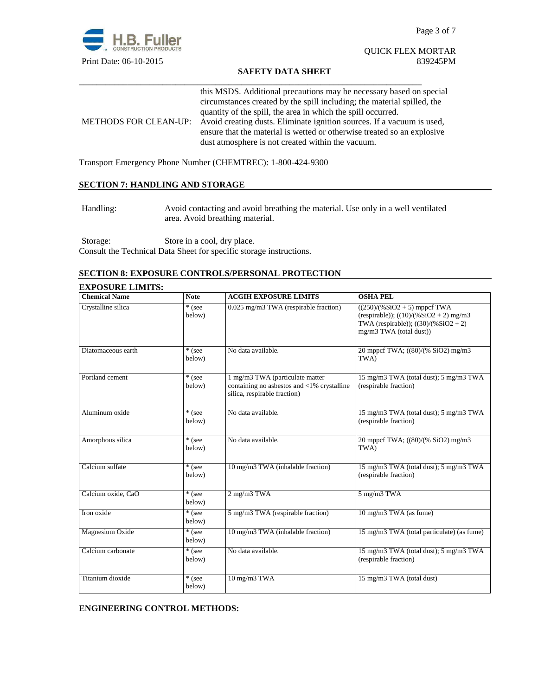

## QUICK FLEX MORTAR Print Date: 06-10-2015 839245PM

## **SAFETY DATA SHEET**

| this MSDS. Additional precautions may be necessary based on special<br>circumstances created by the spill including; the material spilled, the                                                                               |
|------------------------------------------------------------------------------------------------------------------------------------------------------------------------------------------------------------------------------|
| quantity of the spill, the area in which the spill occurred.                                                                                                                                                                 |
| METHODS FOR CLEAN-UP: Avoid creating dusts. Eliminate ignition sources. If a vacuum is used,<br>ensure that the material is wetted or otherwise treated so an explosive<br>dust atmosphere is not created within the vacuum. |

\_\_\_\_\_\_\_\_\_\_\_\_\_\_\_\_\_\_\_\_\_\_\_\_\_\_\_\_\_\_\_\_\_\_\_\_\_\_\_\_\_\_\_\_\_\_\_\_\_\_\_\_\_\_\_\_\_\_\_\_\_\_\_\_\_\_\_\_\_\_\_\_\_\_\_\_\_\_

Transport Emergency Phone Number (CHEMTREC): 1-800-424-9300

# **SECTION 7: HANDLING AND STORAGE**

Handling: Avoid contacting and avoid breathing the material. Use only in a well ventilated area. Avoid breathing material.

Storage: Store in a cool, dry place. Consult the Technical Data Sheet for specific storage instructions.

## **SECTION 8: EXPOSURE CONTROLS/PERSONAL PROTECTION**

| <b>EXPOSURE LIMITS:</b> |                  |                                                                                                               |                                                                                                                                                 |
|-------------------------|------------------|---------------------------------------------------------------------------------------------------------------|-------------------------------------------------------------------------------------------------------------------------------------------------|
| <b>Chemical Name</b>    | <b>Note</b>      | <b>ACGIH EXPOSURE LIMITS</b>                                                                                  | <b>OSHA PEL</b>                                                                                                                                 |
| Crystalline silica      | * (see<br>below) | 0.025 mg/m3 TWA (respirable fraction)                                                                         | $((250)/(%SiO2 + 5)$ mppcf TWA<br>(respirable)); $((10)/(%SiO2 + 2)$ mg/m3<br>TWA (respirable)); $((30)/(%SiO2 + 2)$<br>mg/m3 TWA (total dust)) |
| Diatomaceous earth      | * (see<br>below) | No data available.                                                                                            | 20 mppcf TWA; ((80)/(% SiO2) mg/m3<br>TWA)                                                                                                      |
| Portland cement         | * (see<br>below) | 1 mg/m3 TWA (particulate matter<br>containing no asbestos and <1% crystalline<br>silica, respirable fraction) | 15 mg/m3 TWA (total dust); 5 mg/m3 TWA<br>(respirable fraction)                                                                                 |
| Aluminum oxide          | * (see<br>below) | No data available.                                                                                            | 15 mg/m3 TWA (total dust); 5 mg/m3 TWA<br>(respirable fraction)                                                                                 |
| Amorphous silica        | * (see<br>below) | No data available.                                                                                            | 20 mppcf TWA; ((80)/(% SiO2) mg/m3<br>TWA)                                                                                                      |
| Calcium sulfate         | * (see<br>below) | 10 mg/m3 TWA (inhalable fraction)                                                                             | 15 mg/m3 TWA (total dust); 5 mg/m3 TWA<br>(respirable fraction)                                                                                 |
| Calcium oxide, CaO      | * (see<br>below) | 2 mg/m3 TWA                                                                                                   | 5 mg/m3 TWA                                                                                                                                     |
| Iron oxide              | * (see<br>below) | 5 mg/m3 TWA (respirable fraction)                                                                             | $10 \text{ mg/m}$ $3 \text{ TWA}$ (as fume)                                                                                                     |
| Magnesium Oxide         | * (see<br>below) | 10 mg/m3 TWA (inhalable fraction)                                                                             | 15 mg/m3 TWA (total particulate) (as fume)                                                                                                      |
| Calcium carbonate       | * (see<br>below) | No data available.                                                                                            | 15 mg/m3 TWA (total dust); 5 mg/m3 TWA<br>(respirable fraction)                                                                                 |
| Titanium dioxide        | * (see<br>below) | 10 mg/m3 TWA                                                                                                  | 15 mg/m3 TWA (total dust)                                                                                                                       |

# **ENGINEERING CONTROL METHODS:**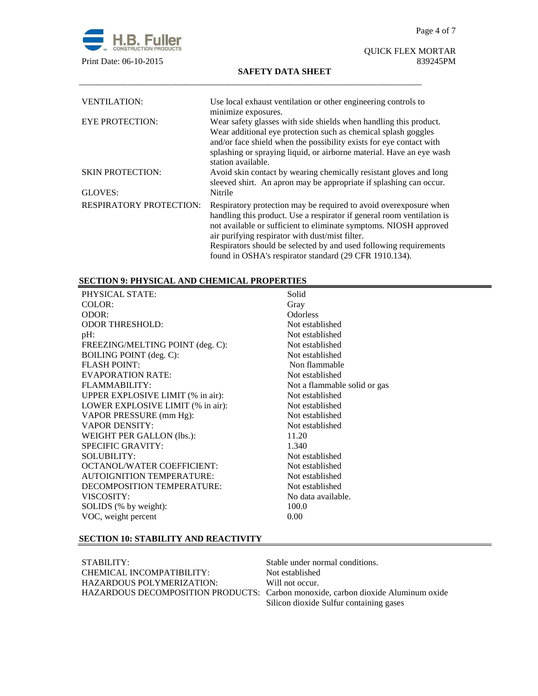

# QUICK FLEX MORTAR

## **SAFETY DATA SHEET**

| <b>VENTILATION:</b>            | Use local exhaust ventilation or other engineering controls to<br>minimize exposures.                                                                                                                                                                                                                                                                                                              |
|--------------------------------|----------------------------------------------------------------------------------------------------------------------------------------------------------------------------------------------------------------------------------------------------------------------------------------------------------------------------------------------------------------------------------------------------|
| <b>EYE PROTECTION:</b>         | Wear safety glasses with side shields when handling this product.<br>Wear additional eye protection such as chemical splash goggles<br>and/or face shield when the possibility exists for eye contact with<br>splashing or spraying liquid, or airborne material. Have an eye wash<br>station available.                                                                                           |
| <b>SKIN PROTECTION:</b>        | Avoid skin contact by wearing chemically resistant gloves and long<br>sleeved shirt. An apron may be appropriate if splashing can occur.                                                                                                                                                                                                                                                           |
| GLOVES:                        | Nitrile                                                                                                                                                                                                                                                                                                                                                                                            |
| <b>RESPIRATORY PROTECTION:</b> | Respiratory protection may be required to avoid overexposure when<br>handling this product. Use a respirator if general room ventilation is<br>not available or sufficient to eliminate symptoms. NIOSH approved<br>air purifying respirator with dust/mist filter.<br>Respirators should be selected by and used following requirements<br>found in OSHA's respirator standard (29 CFR 1910.134). |

\_\_\_\_\_\_\_\_\_\_\_\_\_\_\_\_\_\_\_\_\_\_\_\_\_\_\_\_\_\_\_\_\_\_\_\_\_\_\_\_\_\_\_\_\_\_\_\_\_\_\_\_\_\_\_\_\_\_\_\_\_\_\_\_\_\_\_\_\_\_\_\_\_\_\_\_\_\_

# **SECTION 9: PHYSICAL AND CHEMICAL PROPERTIES**

| PHYSICAL STATE:                   | Solid                        |
|-----------------------------------|------------------------------|
| COLOR:                            | Gray                         |
| ODOR:                             | Odorless                     |
| <b>ODOR THRESHOLD:</b>            | Not established              |
| $pH$ :                            | Not established              |
| FREEZING/MELTING POINT (deg. C):  | Not established              |
| BOILING POINT (deg. C):           | Not established              |
| <b>FLASH POINT:</b>               | Non flammable                |
| <b>EVAPORATION RATE:</b>          | Not established              |
| FLAMMABILITY:                     | Not a flammable solid or gas |
| UPPER EXPLOSIVE LIMIT (% in air): | Not established              |
| LOWER EXPLOSIVE LIMIT (% in air): | Not established              |
| VAPOR PRESSURE (mm Hg):           | Not established              |
| <b>VAPOR DENSITY:</b>             | Not established              |
| WEIGHT PER GALLON (lbs.):         | 11.20                        |
| <b>SPECIFIC GRAVITY:</b>          | 1.340                        |
| <b>SOLUBILITY:</b>                | Not established              |
| <b>OCTANOL/WATER COEFFICIENT:</b> | Not established              |
| <b>AUTOIGNITION TEMPERATURE:</b>  | Not established              |
| DECOMPOSITION TEMPERATURE:        | Not established              |
| VISCOSITY:                        | No data available.           |
| SOLIDS (% by weight):             | 100.0                        |
| VOC, weight percent               | 0.00                         |
|                                   |                              |

# **SECTION 10: STABILITY AND REACTIVITY**

| STABILITY:                | Stable under normal conditions.                                                  |
|---------------------------|----------------------------------------------------------------------------------|
| CHEMICAL INCOMPATIBILITY: | Not established                                                                  |
| HAZARDOUS POLYMERIZATION: | Will not occur.                                                                  |
|                           | HAZARDOUS DECOMPOSITION PRODUCTS: Carbon monoxide, carbon dioxide Aluminum oxide |
|                           | Silicon dioxide Sulfur containing gases                                          |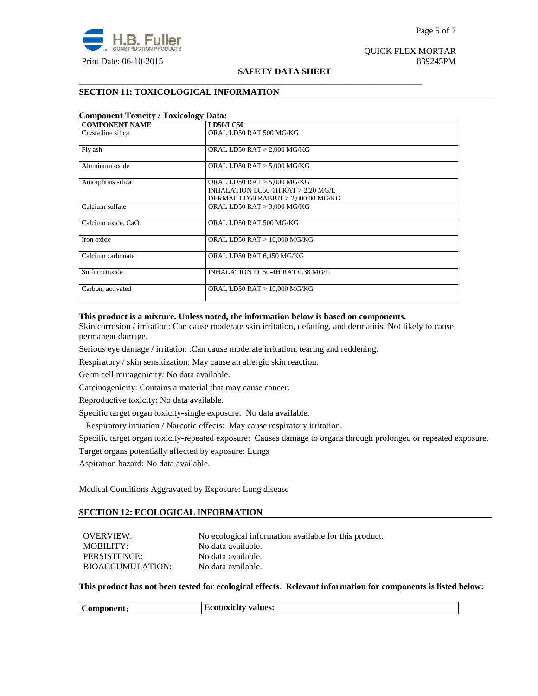

#### Page 5 of 7

QUICK FLEX MORTAR

## **SAFETY DATA SHEET**

\_\_\_\_\_\_\_\_\_\_\_\_\_\_\_\_\_\_\_\_\_\_\_\_\_\_\_\_\_\_\_\_\_\_\_\_\_\_\_\_\_\_\_\_\_\_\_\_\_\_\_\_\_\_\_\_\_\_\_\_\_\_\_\_\_\_\_\_\_\_\_\_\_\_\_\_\_\_

# **SECTION 11: TOXICOLOGICAL INFORMATION**

| <b>Component Toxicity / Toxicology Data:</b> |                                      |  |
|----------------------------------------------|--------------------------------------|--|
| <b>COMPONENT NAME</b>                        | <b>LD50/LC50</b>                     |  |
| Crystalline silica                           | ORAL LD50 RAT 500 MG/KG              |  |
| Fly ash                                      | ORAL LD50 RAT > 2,000 MG/KG          |  |
| Aluminum oxide                               | ORAL LD50 RAT > 5,000 MG/KG          |  |
| Amorphous silica                             | ORAL LD50 RAT > 5,000 MG/KG          |  |
|                                              | INHALATION LC50-1H RAT $> 2.20$ MG/L |  |
|                                              | DERMAL LD50 RABBIT > 2,000.00 MG/KG  |  |
| Calcium sulfate                              | ORAL LD50 RAT > 3,000 MG/KG          |  |
| Calcium oxide, CaO                           | ORAL LD50 RAT 500 MG/KG              |  |
| Iron oxide                                   | ORAL LD50 RAT > 10,000 MG/KG         |  |
| Calcium carbonate                            | ORAL LD50 RAT 6,450 MG/KG            |  |
| Sulfur trioxide                              | INHALATION LC50-4H RAT 0.38 MG/L     |  |
| Carbon, activated                            | ORAL LD50 RAT > 10,000 MG/KG         |  |

## **This product is a mixture. Unless noted, the information below is based on components.**

Skin corrosion / irritation: Can cause moderate skin irritation, defatting, and dermatitis. Not likely to cause permanent damage.

Serious eye damage / irritation :Can cause moderate irritation, tearing and reddening.

Respiratory / skin sensitization: May cause an allergic skin reaction.

Germ cell mutagenicity: No data available.

Carcinogenicity: Contains a material that may cause cancer.

Reproductive toxicity: No data available.

Specific target organ toxicity-single exposure:No data available.

Respiratory irritation / Narcotic effects: May cause respiratory irritation.

Specific target organ toxicity-repeated exposure:Causes damage to organs through prolonged or repeated exposure.

Target organs potentially affected by exposure: Lungs

Aspiration hazard: No data available.

Medical Conditions Aggravated by Exposure: Lung disease

## **SECTION 12: ECOLOGICAL INFORMATION**

| OVERVIEW:               | No ecological information available for this product. |
|-------------------------|-------------------------------------------------------|
| MOBILITY:               | No data available.                                    |
| PERSISTENCE:            | No data available.                                    |
| <b>BIOACCUMULATION:</b> | No data available.                                    |

**This product has not been tested for ecological effects. Relevant information for components is listed below:** 

|--|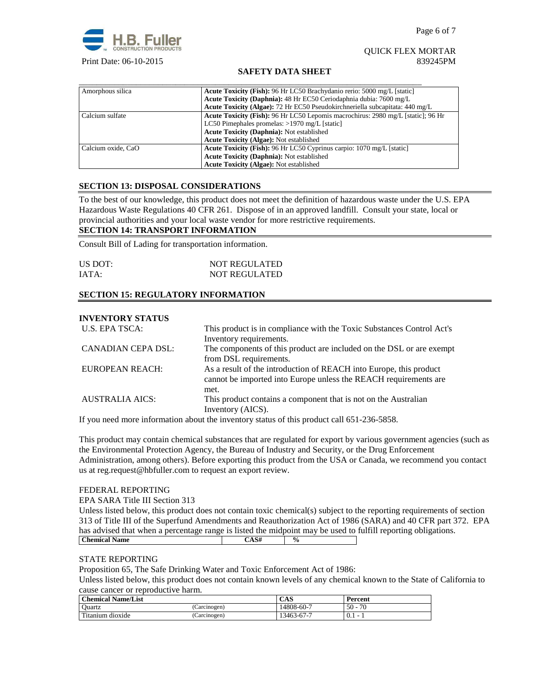## QUICK FLEX MORTAR Print Date: 06-10-2015 839245PM

## **SAFETY DATA SHEET**

| Amorphous silica   | Acute Toxicity (Fish): 96 Hr LC50 Brachydanio rerio: 5000 mg/L [static]          |
|--------------------|----------------------------------------------------------------------------------|
|                    | Acute Toxicity (Daphnia): 48 Hr EC50 Ceriodaphnia dubia: 7600 mg/L               |
|                    | Acute Toxicity (Algae): 72 Hr EC50 Pseudokirchneriella subcapitata: 440 mg/L     |
| Calcium sulfate    | Acute Toxicity (Fish): 96 Hr LC50 Lepomis macrochirus: 2980 mg/L [static]; 96 Hr |
|                    | LC50 Pimephales promelas: $>1970$ mg/L [static]                                  |
|                    | <b>Acute Toxicity (Daphnia): Not established</b>                                 |
|                    | <b>Acute Toxicity (Algae): Not established</b>                                   |
| Calcium oxide. CaO | <b>Acute Toxicity (Fish): 96 Hr LC50 Cyprinus carpio: 1070 mg/L [static]</b>     |
|                    | <b>Acute Toxicity (Daphnia): Not established</b>                                 |
|                    | <b>Acute Toxicity (Algae): Not established</b>                                   |

## **SECTION 13: DISPOSAL CONSIDERATIONS**

To the best of our knowledge, this product does not meet the definition of hazardous waste under the U.S. EPA Hazardous Waste Regulations 40 CFR 261. Dispose of in an approved landfill. Consult your state, local or provincial authorities and your local waste vendor for more restrictive requirements.

## **SECTION 14: TRANSPORT INFORMATION**

Consult Bill of Lading for transportation information.

| US DOT: | <b>NOT REGULATED</b> |
|---------|----------------------|
| IATA:   | <b>NOT REGULATED</b> |

## **SECTION 15: REGULATORY INFORMATION**

## **INVENTORY STATUS**

| U.S. EPA TSCA:         | This product is in compliance with the Toxic Substances Control Act's |  |  |
|------------------------|-----------------------------------------------------------------------|--|--|
|                        | Inventory requirements.                                               |  |  |
| CANADIAN CEPA DSL:     | The components of this product are included on the DSL or are exempt  |  |  |
|                        | from DSL requirements.                                                |  |  |
| EUROPEAN REACH:        | As a result of the introduction of REACH into Europe, this product    |  |  |
|                        | cannot be imported into Europe unless the REACH requirements are      |  |  |
|                        | met.                                                                  |  |  |
| <b>AUSTRALIA AICS:</b> | This product contains a component that is not on the Australian       |  |  |
|                        | Inventory (AICS).                                                     |  |  |

If you need more information about the inventory status of this product call 651-236-5858.

This product may contain chemical substances that are regulated for export by various government agencies (such as the Environmental Protection Agency, the Bureau of Industry and Security, or the Drug Enforcement Administration, among others). Before exporting this product from the USA or Canada, we recommend you contact us at reg.request@hbfuller.com to request an export review.

## FEDERAL REPORTING

#### EPA SARA Title III Section 313

Unless listed below, this product does not contain toxic chemical(s) subject to the reporting requirements of section 313 of Title III of the Superfund Amendments and Reauthorization Act of 1986 (SARA) and 40 CFR part 372. EPA has advised that when a percentage range is listed the midpoint may be used to fulfill reporting obligations. **Chemical Name**  $\qquad \qquad$   $\qquad \qquad$   $\qquad \qquad$   $\qquad \qquad$   $\qquad \qquad$   $\qquad \qquad$   $\qquad \qquad$   $\qquad \qquad$   $\qquad \qquad$   $\qquad \qquad$   $\qquad \qquad$   $\qquad \qquad$   $\qquad \qquad$   $\qquad \qquad$   $\qquad \qquad$   $\qquad \qquad$   $\qquad \qquad$   $\qquad \qquad$   $\qquad \qquad$   $\qquad \qquad$   $\qquad \qquad$   $\qquad \qquad$   $\qquad \qquad$ 

#### STATE REPORTING

Proposition 65, The Safe Drinking Water and Toxic Enforcement Act of 1986:

Unless listed below, this product does not contain known levels of any chemical known to the State of California to cause cancer or reproductive harm.

| <b>Chemical Name/List</b> |              | CAS        | Percent      |
|---------------------------|--------------|------------|--------------|
| <sup>1</sup> Ouartz       | (Carcinogen) | 14808-60-7 | 70<br>$50 -$ |
| Titanium dioxide          | Carcinogen)  | 13463-67-7 | 0.1          |